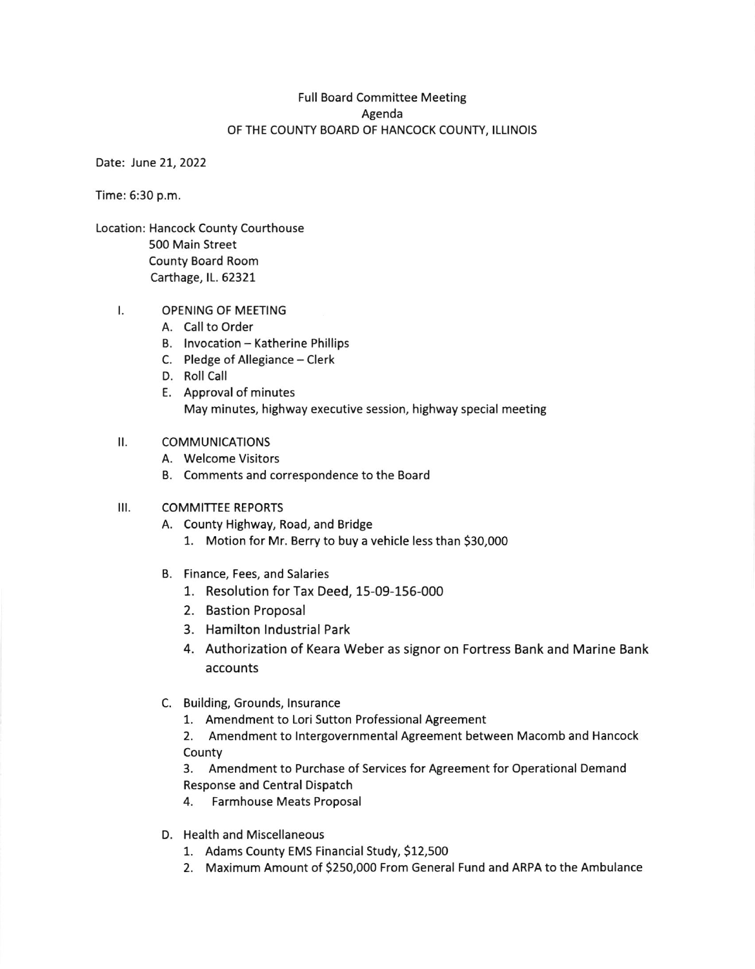## Full Board Committee Meeting Agenda OF THE COUNTY BOARD OF HANCOCK COUNTY, ILLINOIS

Date: June 21, 2022

Time: 6:30 p.m.

Location: Hancock County Courthouse 500 Main Street County Board Room Carthage, lL. 62327

#### OPENING OF MEETING t.

- A. Call to Order
- B. Invocation Katherine Phillips
- C. Pledge of Allegiance Clerk
- D. Roll Call
- E. Approval of minutes May minutes, highway executive session, highway special meeting

#### $II.$ **COMMUNICATIONS**

- A. Welcome Visitors
- B. Comments and correspondence to the Board

#### $III.$ COMMITTEE REPORTS

- A. County Highway, Road, and Bridge 1. Motion for Mr. Berry to buy a vehicle less than 530,000
- B. Finance, Fees, and Salaries
	- 1. Resolution for Tax Deed, 15-09-156-000
	- 2. Bastion Proposal
	- 3. Hamilton lndustrial Park
	- 4. Authorization of Keara Weber as signor on Fortress Bank and Marine Bank accounts
- C. Building, Grounds, lnsurance
	- 1. Amendment to Lori Sutton Professional Agreement

2. Amendment to lntergovernmental Agreement between Macomb and Hancock County

3. Amendment to Purchase of Services for Agreement for Operational Demand Response and Central Dispatch

- 4. Farmhouse Meats Proposal
- D. Health and Miscellaneous
	- 1. Adams County EMS Financial study, S12,500
	- 2. Maximum Amount of 5250,000 From General Fund and ARPA to the Ambulance